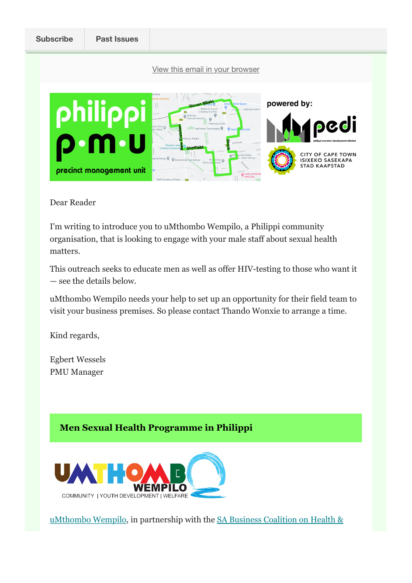

Dear Reader

I'm writing to introduce you to uMthombo Wempilo, a Philippi community organisation, that is looking to engage with your male staff about sexual health matters.

This outreach seeks to educate men as well as offer HIV-testing to those who want it — see the details below.

uMthombo Wempilo needs your help to set up an opportunity for their field team to visit your business premises. So please contact Thando Wonxie to arrange a time.

Kind regards,

Egbert Wessels PMU Manager

## **Men Sexual Health Programme in Philippi**



uMthombo Wempilo, in partnership with the SA Business Coalition on Health &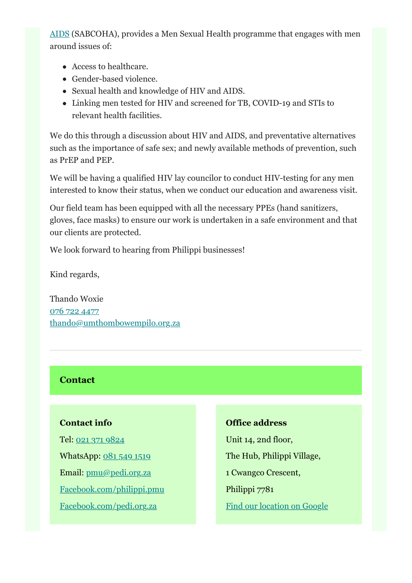AIDS (SABCOHA), provides a Men Sexual Health programme that engages with men around issues of:

- Access to healthcare.
- Gender-based violence.
- Sexual health and knowledge of HIV and AIDS.
- Linking men tested for HIV and screened for TB, COVID-19 and STIs to relevant health facilities.

We do this through a discussion about HIV and AIDS, and preventative alternatives such as the importance of safe sex; and newly available methods of prevention, such as PrEP and PEP.

We will be having a qualified HIV lay councilor to conduct HIV-testing for any men interested to know their status, when we conduct our education and awareness visit.

Our field team has been equipped with all the necessary PPEs (hand sanitizers, gloves, face masks) to ensure our work is undertaken in a safe environment and that our clients are protected.

We look forward to hearing from Philippi businesses!

Kind regards,

Thando Woxie 076 722 4477 thando@umthombowempilo.org.za

## **Contact**

## **Contact info**

Tel: 021 371 9824 WhatsApp: 081 549 1519 Email: pmu@pedi.org.za Facebook.com/philippi.pmu Facebook.com/pedi.org.za

## **Office address**

Unit 14, 2nd floor, The Hub, Philippi Village, 1 Cwangco Crescent, Philippi 7781 Find our location on Google